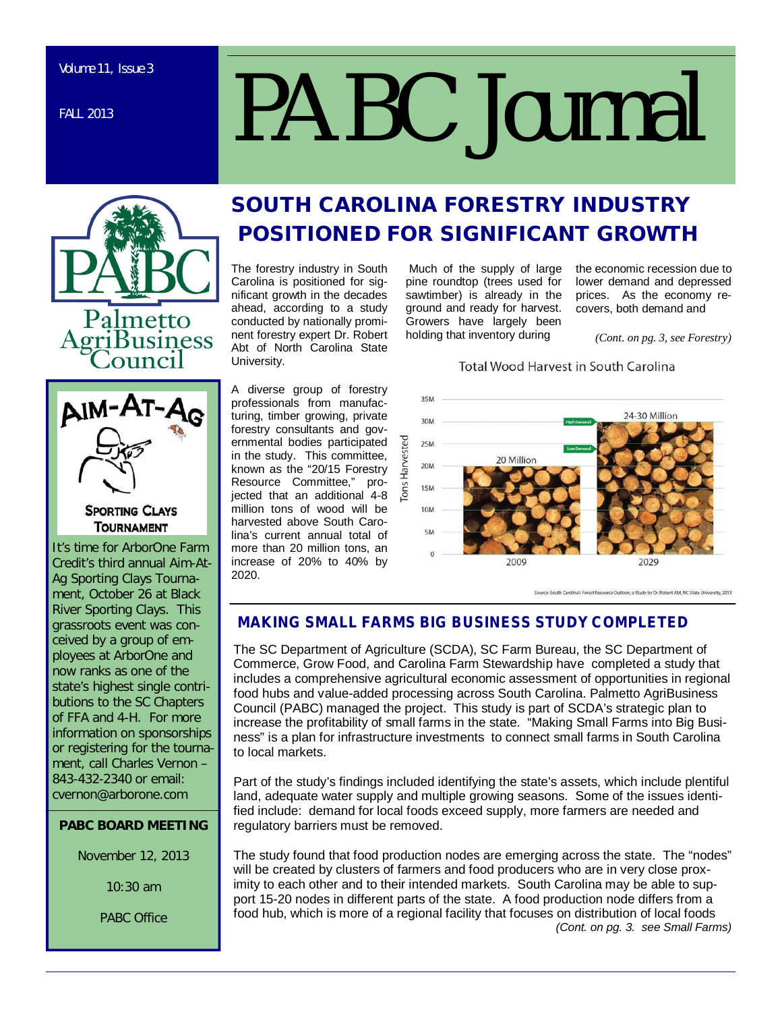FALL 2013

# *PABC Journal*





## **SPORTING CLAYS TOURNAMENT**

It's time for ArborOne Farm Credit's third annual Aim-At-Ag Sporting Clays Tournament, October 26 at Black River Sporting Clays. This grassroots event was conceived by a group of employees at ArborOne and now ranks as one of the state's highest single contributions to the SC Chapters of FFA and 4-H. For more information on sponsorships or registering for the tournament, call Charles Vernon – 843-432-2340 or email: cvernon@arborone.com

## **PABC BOARD MEETING**

November 12, 2013

10:30 am

PABC Office

## **SOUTH CAROLINA FORESTRY INDUSTRY POSITIONED FOR SIGNIFICANT GROWTH**

The forestry industry in South Carolina is positioned for significant growth in the decades ahead, according to a study conducted by nationally prominent forestry expert Dr. Robert Abt of North Carolina State University.

A diverse group of forestry professionals from manufacturing, timber growing, private forestry consultants and governmental bodies participated in the study. This committee, known as the "20/15 Forestry<br>Resource Committee," pro-Resource Committee," projected that an additional 4-8 million tons of wood will be harvested above South Carolina's current annual total of more than 20 million tons, an increase of 20% to 40% by 2020.

 Much of the supply of large pine roundtop (trees used for sawtimber) is already in the ground and ready for harvest. Growers have largely been holding that inventory during

the economic recession due to lower demand and depressed prices. As the economy recovers, both demand and

*(Cont. on pg. 3, see Forestry)*

## **Total Wood Harvest in South Carolina**



Source: South Carolina's Forest Resource Outlook; a Study by Dr. Robert Abt, NC State University, 2013

## **MAKING SMALL FARMS BIG BUSINESS STUDY COMPLETED**

The SC Department of Agriculture (SCDA), SC Farm Bureau, the SC Department of Commerce, Grow Food, and Carolina Farm Stewardship have completed a study that includes a comprehensive agricultural economic assessment of opportunities in regional food hubs and value-added processing across South Carolina. Palmetto AgriBusiness Council (PABC) managed the project. This study is part of SCDA's strategic plan to increase the profitability of small farms in the state. "Making Small Farms into Big Business" is a plan for infrastructure investments to connect small farms in South Carolina to local markets.

Part of the study's findings included identifying the state's assets, which include plentiful land, adequate water supply and multiple growing seasons. Some of the issues identified include: demand for local foods exceed supply, more farmers are needed and regulatory barriers must be removed.

The study found that food production nodes are emerging across the state. The "nodes" will be created by clusters of farmers and food producers who are in very close proximity to each other and to their intended markets. South Carolina may be able to support 15-20 nodes in different parts of the state. A food production node differs from a food hub, which is more of a regional facility that focuses on distribution of local foods *(Cont. on pg. 3. see Small Farms)*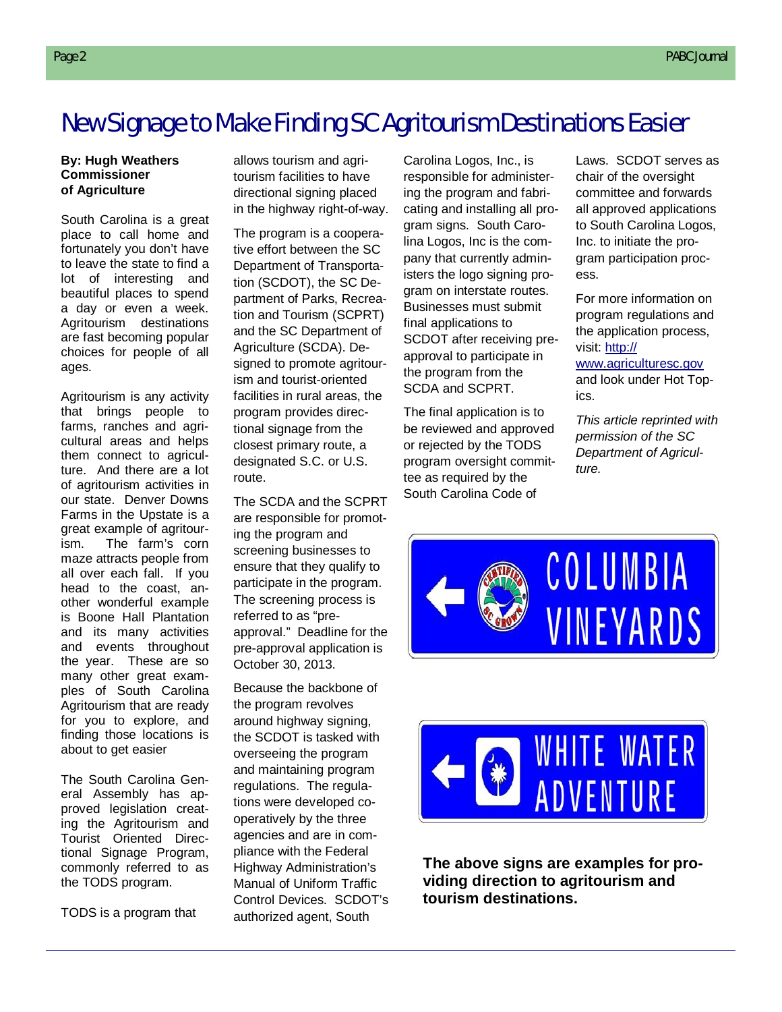## New Signage to Make Finding SC Agritourism Destinations Easier

#### **By: Hugh Weathers Commissioner of Agriculture**

South Carolina is a great place to call home and fortunately you don't have to leave the state to find a lot of interesting and beautiful places to spend a day or even a week. Agritourism destinations are fast becoming popular choices for people of all ages.

Agritourism is any activity that brings people to farms, ranches and agricultural areas and helps them connect to agriculture. And there are a lot of agritourism activities in our state. Denver Downs Farms in the Upstate is a great example of agritourism. The farm's corn maze attracts people from all over each fall. If you head to the coast, another wonderful example is Boone Hall Plantation and its many activities and events throughout the year. These are so many other great examples of South Carolina Agritourism that are ready for you to explore, and finding those locations is about to get easier

The South Carolina General Assembly has approved legislation creating the Agritourism and Tourist Oriented Directional Signage Program, commonly referred to as the TODS program.

TODS is a program that

allows tourism and agritourism facilities to have directional signing placed in the highway right-of-way.

The program is a cooperative effort between the SC Department of Transportation (SCDOT), the SC Department of Parks, Recreation and Tourism (SCPRT) and the SC Department of Agriculture (SCDA). Designed to promote agritourism and tourist-oriented facilities in rural areas, the program provides directional signage from the closest primary route, a designated S.C. or U.S. route.

The SCDA and the SCPRT are responsible for promoting the program and screening businesses to ensure that they qualify to participate in the program. The screening process is referred to as "preapproval." Deadline for the pre-approval application is October 30, 2013.

Because the backbone of the program revolves around highway signing, the SCDOT is tasked with overseeing the program and maintaining program regulations. The regulations were developed cooperatively by the three agencies and are in compliance with the Federal Highway Administration's Manual of Uniform Traffic Control Devices. SCDOT's authorized agent, South

Carolina Logos, Inc., is responsible for administering the program and fabricating and installing all program signs. South Carolina Logos, Inc is the company that currently administers the logo signing program on interstate routes. Businesses must submit final applications to SCDOT after receiving preapproval to participate in the program from the SCDA and SCPRT.

The final application is to be reviewed and approved or rejected by the TODS program oversight committee as required by the South Carolina Code of

Laws. SCDOT serves as chair of the oversight committee and forwards all approved applications to South Carolina Logos, Inc. to initiate the program participation process.

For more information on program regulations and the application process, visit: http://

www.agriculturesc.gov and look under Hot Topics.

*This article reprinted with permission of the SC Department of Agriculture.*





**The above signs are examples for providing direction to agritourism and tourism destinations.**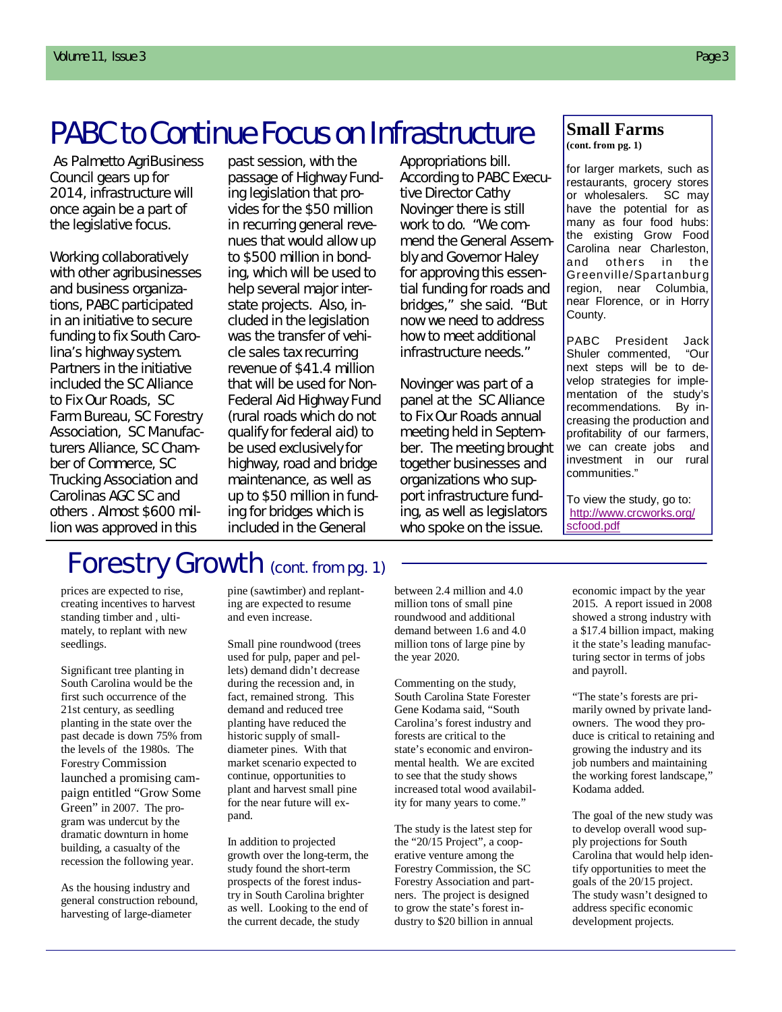# PABC to Continue Focus on Infrastructure

As Palmetto AgriBusiness Council gears up for 2014, infrastructure will once again be a part of the legislative focus.

Working collaboratively with other agribusinesses and business organizations, PABC participated in an initiative to secure funding to fix South Carolina's highway system. Partners in the initiative included the SC Alliance to Fix Our Roads, SC Farm Bureau, SC Forestry Association, SC Manufacturers Alliance, SC Chamber of Commerce, SC Trucking Association and Carolinas AGC SC and others . Almost \$600 million was approved in this

past session, with the passage of Highway Funding legislation that provides for the \$50 million in recurring general revenues that would allow up to \$500 million in bonding, which will be used to help several major interstate projects. Also, included in the legislation was the transfer of vehicle sales tax recurring revenue of \$41.4 million that will be used for Non-Federal Aid Highway Fund (rural roads which do not qualify for federal aid) to be used exclusively for highway, road and bridge maintenance, as well as up to \$50 million in funding for bridges which is included in the General

Appropriations bill. According to PABC Executive Director Cathy Novinger there is still work to do. "We commend the General Assembly and Governor Haley for approving this essential funding for roads and bridges," she said. "But now we need to address how to meet additional infrastructure needs."

Novinger was part of a panel at the SC Alliance to Fix Our Roads annual meeting held in September. The meeting brought together businesses and organizations who support infrastructure funding, as well as legislators who spoke on the issue.

## **Small Farms**

**(cont. from pg. 1)**

for larger markets, such as restaurants, grocery stores<br>or wholesalers. SC may or wholesalers. have the potential for as many as four food hubs: the existing Grow Food Carolina near Charleston, and others in the Greenville/Spartanburg region, near Columbia, near Florence, or in Horry County.

PABC President Jack Shuler commented, "Our next steps will be to develop strategies for implementation of the study's recommendations. By increasing the production and profitability of our farmers, we can create jobs and<br>investment in our rural investment in our communities."

To view the study, go to: http://www.crcworks.org/ scfood.pdf

# Forestry Growth (cont. from pg. 1)

prices are expected to rise, creating incentives to harvest standing timber and , ultimately, to replant with new seedlings.

Significant tree planting in South Carolina would be the first such occurrence of the 21st century, as seedling planting in the state over the past decade is down 75% from the levels of the 1980s. The Forestry Commission launched a promising campaign entitled "Grow Some Green" in 2007. The program was undercut by the dramatic downturn in home building, a casualty of the recession the following year.

As the housing industry and general construction rebound, harvesting of large-diameter

pine (sawtimber) and replanting are expected to resume and even increase.

Small pine roundwood (trees used for pulp, paper and pellets) demand didn't decrease during the recession and, in fact, remained strong. This demand and reduced tree planting have reduced the historic supply of smalldiameter pines. With that market scenario expected to continue, opportunities to plant and harvest small pine for the near future will expand.

In addition to projected growth over the long-term, the study found the short-term prospects of the forest industry in South Carolina brighter as well. Looking to the end of the current decade, the study

between 2.4 million and 4.0 million tons of small pine roundwood and additional demand between 1.6 and 4.0 million tons of large pine by the year 2020.

Commenting on the study, South Carolina State Forester Gene Kodama said, "South Carolina's forest industry and forests are critical to the state's economic and environmental health. We are excited to see that the study shows increased total wood availability for many years to come."

The study is the latest step for the "20/15 Project", a cooperative venture among the Forestry Commission, the SC Forestry Association and partners. The project is designed to grow the state's forest industry to \$20 billion in annual

economic impact by the year 2015. A report issued in 2008 showed a strong industry with a \$17.4 billion impact, making it the state's leading manufacturing sector in terms of jobs and payroll.

"The state's forests are primarily owned by private landowners. The wood they produce is critical to retaining and growing the industry and its job numbers and maintaining the working forest landscape," Kodama added.

The goal of the new study was to develop overall wood supply projections for South Carolina that would help identify opportunities to meet the goals of the 20/15 project. The study wasn't designed to address specific economic development projects.